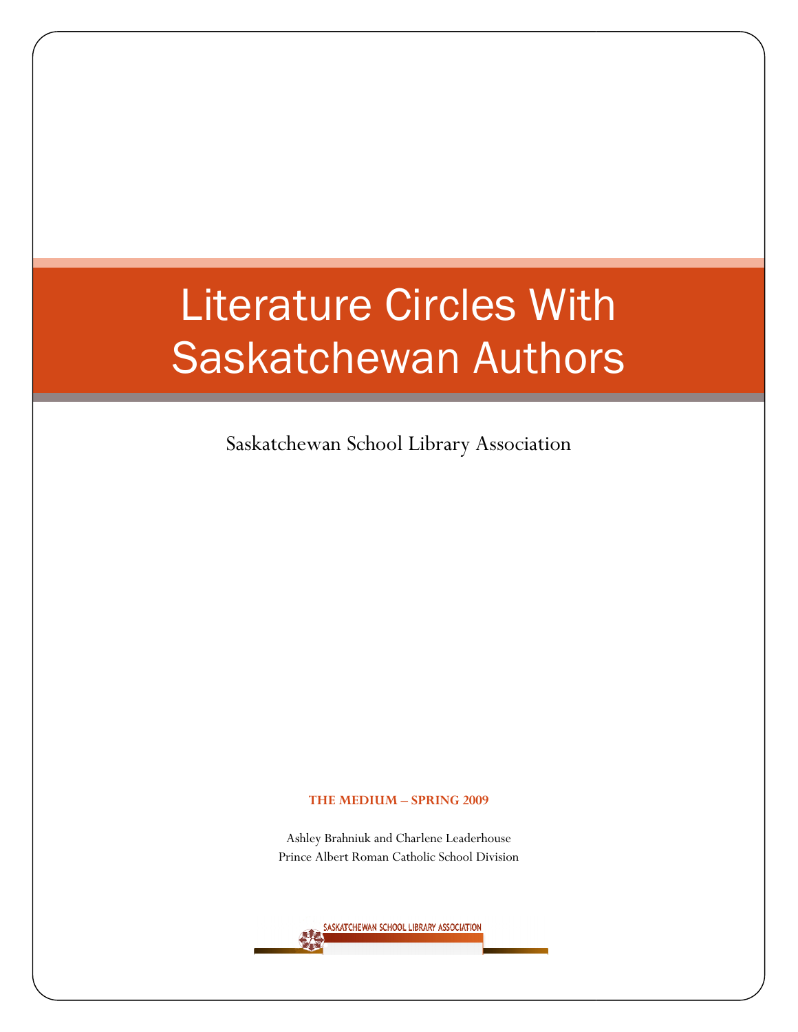# Literature Circles With Saskatchewan Authors

Saskatchewan School Library Association

#### THE MEDIUM – SPRING 2009

Ashley Brahniuk and Charlene Leaderhouse Princ Prince Albert Roman Catholic School Division

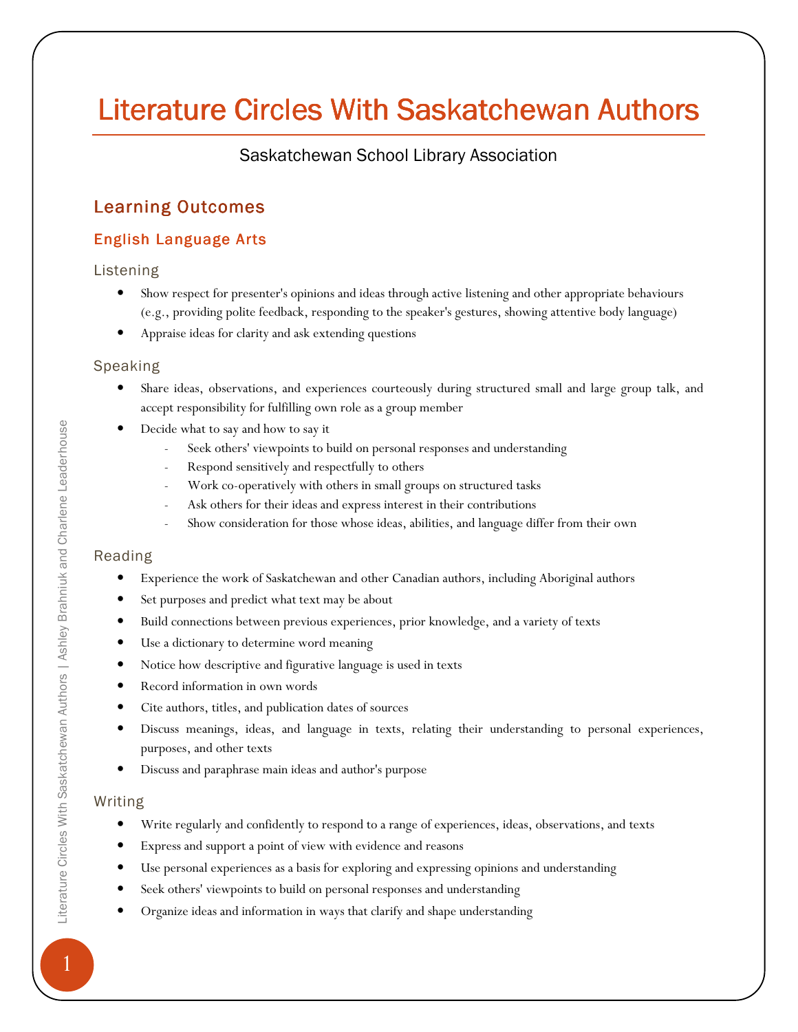## Literature Circles With Saskatchewan Authors

## Saskatchewan School Library Association

## **Learning Outcomes**

## English Language Arts

### Listening

- Show respect for presenter's opinions and ideas through active listening and other appropriate behaviours (e.g., providing polite feedback, responding to the speaker's gestures, showing attentive body language)
- Appraise ideas for clarity and ask extending questions

### Speaking

- Share ideas, observations, and experiences courteously during structured small and large group talk, and accept responsibility for fulfilling own role as a group member
- Decide what to say and how to say it
	- Seek others' viewpoints to build on personal responses and understanding
	- Respond sensitively and respectfully to others
	- Work co-operatively with others in small groups on structured tasks
	- Ask others for their ideas and express interest in their contributions
	- Show consideration for those whose ideas, abilities, and language differ from their own

### Reading

- Experience the work of Saskatchewan and other Canadian authors, including Aboriginal authors
- Set purposes and predict what text may be about
- Build connections between previous experiences, prior knowledge, and a variety of texts
- Use a dictionary to determine word meaning
- Notice how descriptive and figurative language is used in texts
- Record information in own words
- Cite authors, titles, and publication dates of sources
- Discuss meanings, ideas, and language in texts, relating their understanding to personal experiences, purposes, and other texts
- Discuss and paraphrase main ideas and author's purpose

### Writing

- Write regularly and confidently to respond to a range of experiences, ideas, observations, and texts
- Express and support a point of view with evidence and reasons
- Use personal experiences as a basis for exploring and expressing opinions and understanding
- Seek others' viewpoints to build on personal responses and understanding
- Organize ideas and information in ways that clarify and shape understanding

1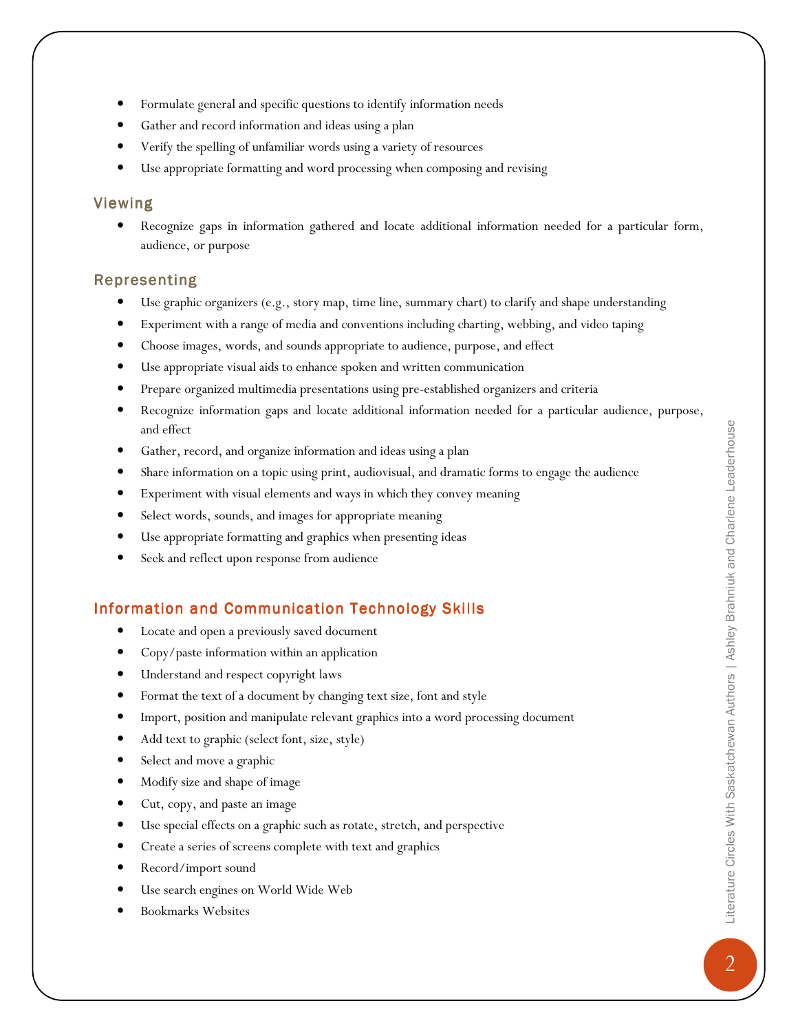- Formulate general and specific questions to identify information needs
- Gather and record information and ideas using a plan
- Verify the spelling of unfamiliar words using a variety of resources
- Use appropriate formatting and word processing when composing and revising

#### Viewing

• Recognize gaps in information gathered and locate additional information needed for a particular form, audience, or purpose

#### **Representing**

- Use graphic organizers (e.g., story map, time line, summary chart) to clarify and shape understanding
- Experiment with a range of media and conventions including charting, webbing, and video taping
- Choose images, words, and sounds appropriate to audience, purpose, and effect
- Use appropriate visual aids to enhance spoken and written communication
- Prepare organized multimedia presentations using pre-established organizers and criteria
- Recognize information gaps and locate additional information needed for a particular audience, purpose, and effect
- Gather, record, and organize information and ideas using a plan
- Share information on a topic using print, audiovisual, and dramatic forms to engage the audience
- Experiment with visual elements and ways in which they convey meaning
- Select words, sounds, and images for appropriate meaning
- Use appropriate formatting and graphics when presenting ideas
- Seek and reflect upon response from audience

### Information and Communication Technology Skills

- Locate and open a previously saved document
- Copy/paste information within an application
- Understand and respect copyright laws
- Format the text of a document by changing text size, font and style
- Import, position and manipulate relevant graphics into a word processing document
- Add text to graphic (select font, size, style)
- Select and move a graphic
- Modify size and shape of image
- Cut, copy, and paste an image
- Use special effects on a graphic such as rotate, stretch, and perspective
- Create a series of screens complete with text and graphics
- Record/import sound
- Use search engines on World Wide Web
- Bookmarks Websites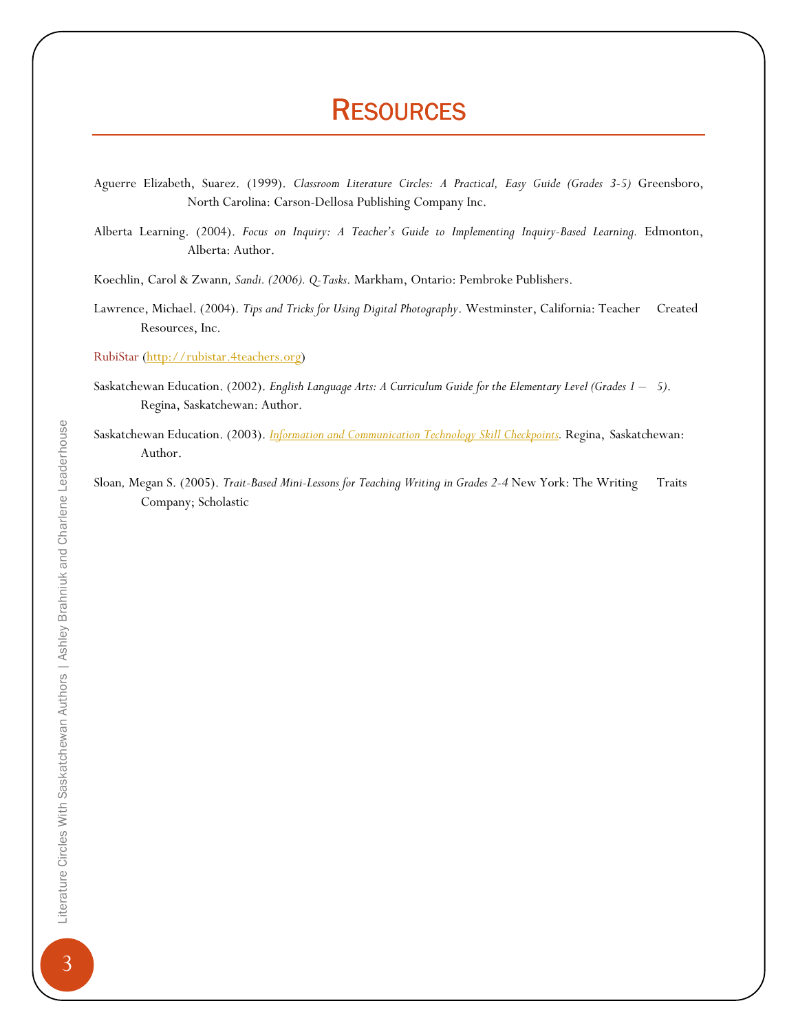## **RESOURCES**

Aguerre Elizabeth, Suarez. (1999). Classroom Literature Circles: A Practical, Easy Guide (Grades 3-5) Greensboro, North Carolina: Carson-Dellosa Publishing Company Inc.

Alberta Learning. (2004). Focus on Inquiry: A Teacher's Guide to Implementing Inquiry-Based Learning. Edmonton, Alberta: Author.

Koechlin, Carol & Zwann, Sandi. (2006). Q-Tasks. Markham, Ontario: Pembroke Publishers.

Lawrence, Michael. (2004). Tips and Tricks for Using Digital Photography. Westminster, California: Teacher Created Resources, Inc.

RubiStar (http://rubistar.4teachers.org)

- Saskatchewan Education. (2002). English Language Arts: A Curriculum Guide for the Elementary Level (Grades 1 5). Regina, Saskatchewan: Author.
- Saskatchewan Education. (2003). *Information and Communication Technology Skill Checkpoints*. Regina, Saskatchewan: Author.
- Sloan, Megan S. (2005). Trait-Based Mini-Lessons for Teaching Writing in Grades 2-4 New York: The Writing Traits Company; Scholastic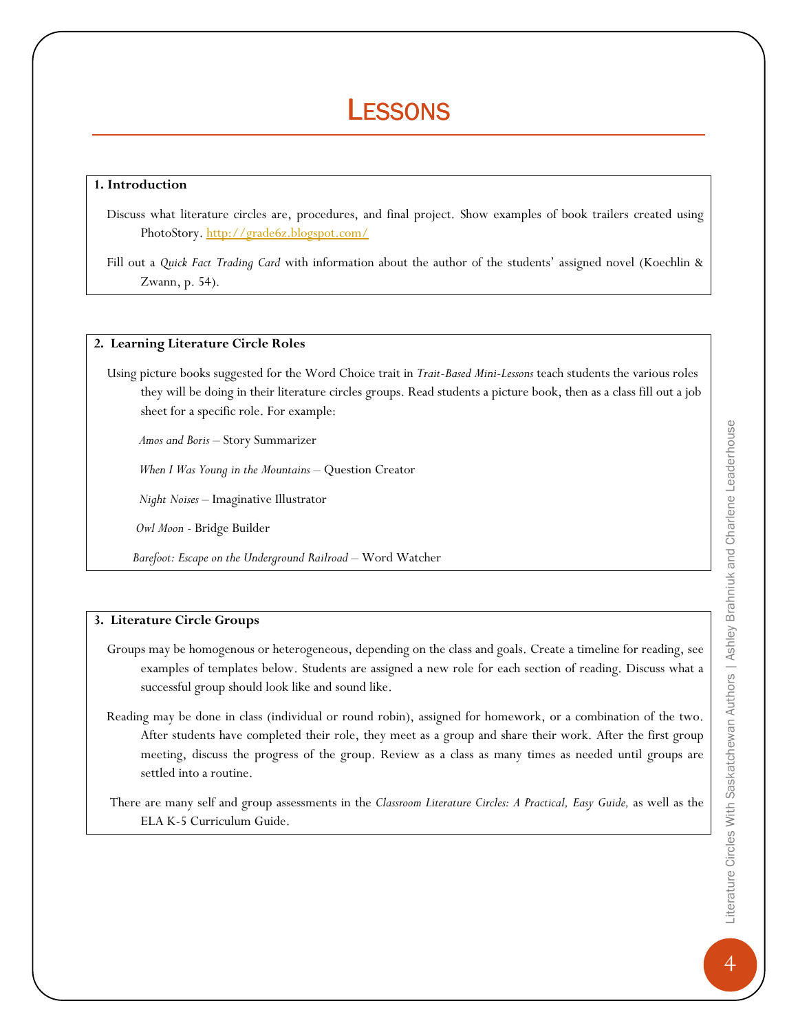## **LESSONS**

#### 1. Introduction

 Discuss what literature circles are, procedures, and final project. Show examples of book trailers created using PhotoStory. http://grade6z.blogspot.com/

#### 2. Learning Literature Circle Roles

 Using picture books suggested for the Word Choice trait in Trait-Based Mini-Lessons teach students the various roles they will be doing in their literature circles groups. Read students a picture book, then as a class fill out a job sheet for a specific role. For example:

Amos and Boris – Story Summarizer

When I Was Young in the Mountains - Question Creator

Night Noises – Imaginative Illustrator

Owl Moon - Bridge Builder

Barefoot: Escape on the Underground Railroad – Word Watcher

#### 3. Literature Circle Groups

- Groups may be homogenous or heterogeneous, depending on the class and goals. Create a timeline for reading, see examples of templates below. Students are assigned a new role for each section of reading. Discuss what a successful group should look like and sound like.
- Reading may be done in class (individual or round robin), assigned for homework, or a combination of the two. After students have completed their role, they meet as a group and share their work. After the first group meeting, discuss the progress of the group. Review as a class as many times as needed until groups are settled into a routine.

 There are many self and group assessments in the Classroom Literature Circles: A Practical, Easy Guide, as well as the ELA K-5 Curriculum Guide.

Fill out a Quick Fact Trading Card with information about the author of the students' assigned novel (Koechlin & Zwann, p. 54).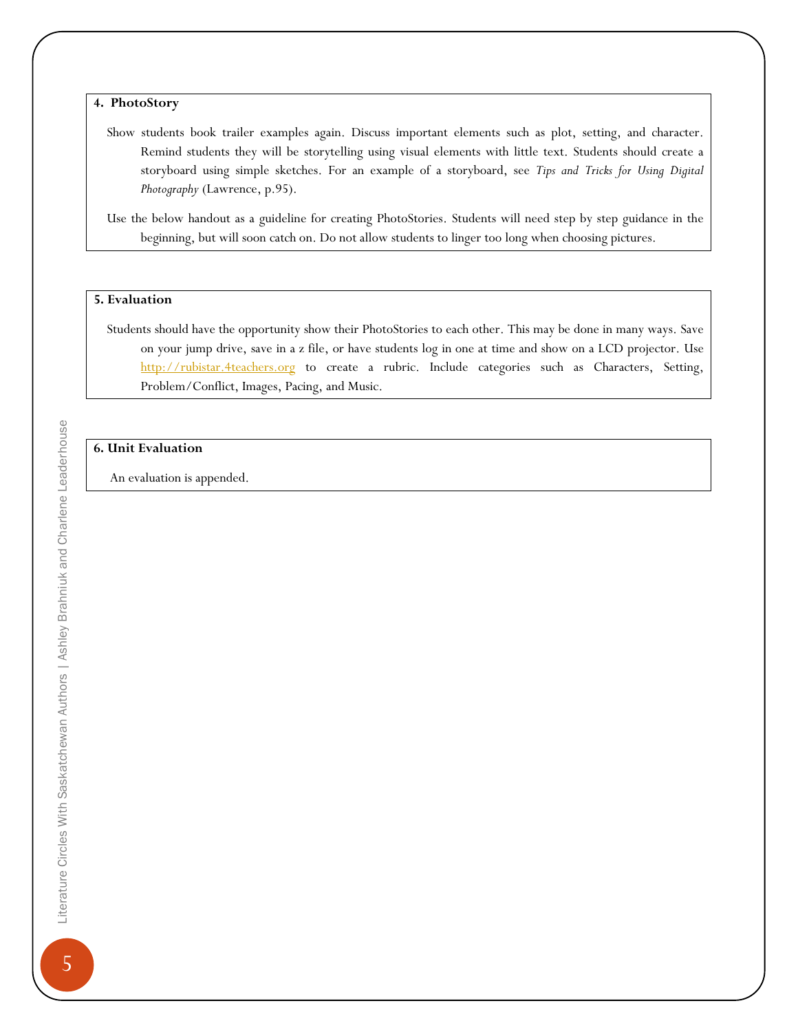4. PhotoStory

 Show students book trailer examples again. Discuss important elements such as plot, setting, and character. Remind students they will be storytelling using visual elements with little text. Students should create a storyboard using simple sketches. For an example of a storyboard, see Tips and Tricks for Using Digital Photography (Lawrence, p.95).

 Use the below handout as a guideline for creating PhotoStories. Students will need step by step guidance in the beginning, but will soon catch on. Do not allow students to linger too long when choosing pictures.

#### 5. Evaluation

 Students should have the opportunity show their PhotoStories to each other. This may be done in many ways. Save on your jump drive, save in a z file, or have students log in one at time and show on a LCD projector. Use http://rubistar.4teachers.org to create a rubric. Include categories such as Characters, Setting, Problem/Conflict, Images, Pacing, and Music.

#### 6. Unit Evaluation

An evaluation is appended.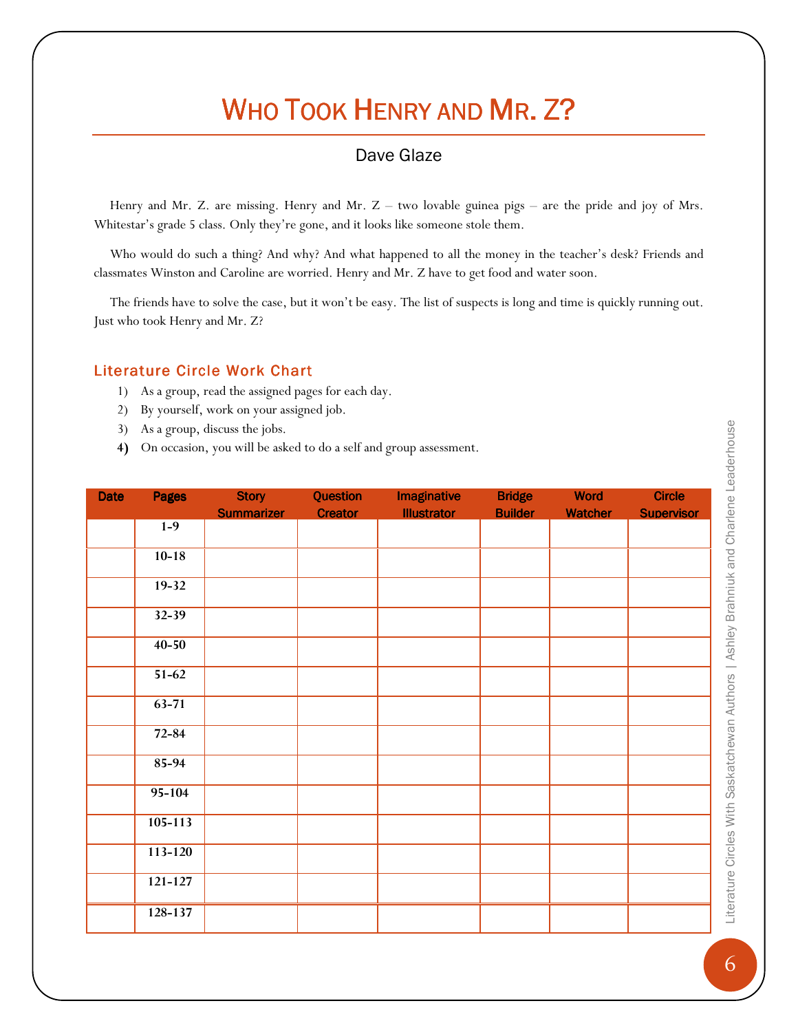## WHO TOOK HENRY AND MR. Z?

## Dave Glaze

 Henry and Mr. Z. are missing. Henry and Mr. Z – two lovable guinea pigs – are the pride and joy of Mrs. Whitestar's grade 5 class. Only they're gone, and it looks like someone stole them.

 Who would do such a thing? And why? And what happened to all the money in the teacher's desk? Friends and classmates Winston and Caroline are worried. Henry and Mr. Z have to get food and water soon.

 The friends have to solve the case, but it won't be easy. The list of suspects is long and time is quickly running out. Just who took Henry and Mr. Z?

#### Literature Circle Work Chart

- 1) As a group, read the assigned pages for each day.
- 2) By yourself, work on your assigned job.
- 3) As a group, discuss the jobs.
- 4) On occasion, you will be asked to do a self and group assessment.

| <b>Date</b> | <b>Pages</b> | <b>Story</b><br><b>Summarizer</b> | Question<br><b>Creator</b> | <b>Imaginative</b><br><b>Illustrator</b> | <b>Bridge</b><br><b>Builder</b> | <b>Word</b><br><b>Watcher</b> | <b>Circle</b><br><b>Supervisor</b> |
|-------------|--------------|-----------------------------------|----------------------------|------------------------------------------|---------------------------------|-------------------------------|------------------------------------|
|             | $1-9$        |                                   |                            |                                          |                                 |                               |                                    |
|             | $10-18$      |                                   |                            |                                          |                                 |                               |                                    |
|             | $19 - 32$    |                                   |                            |                                          |                                 |                               |                                    |
|             | $32 - 39$    |                                   |                            |                                          |                                 |                               |                                    |
|             | $40 - 50$    |                                   |                            |                                          |                                 |                               |                                    |
|             | $51-62$      |                                   |                            |                                          |                                 |                               |                                    |
|             | $63 - 71$    |                                   |                            |                                          |                                 |                               |                                    |
|             | $72 - 84$    |                                   |                            |                                          |                                 |                               |                                    |
|             | 85-94        |                                   |                            |                                          |                                 |                               |                                    |
|             | $95 - 104$   |                                   |                            |                                          |                                 |                               |                                    |
|             | $105 - 113$  |                                   |                            |                                          |                                 |                               |                                    |
|             | $113 - 120$  |                                   |                            |                                          |                                 |                               |                                    |
|             | $121 - 127$  |                                   |                            |                                          |                                 |                               |                                    |
|             | 128-137      |                                   |                            |                                          |                                 |                               |                                    |

**6 Circles With Saskatchewan Authors | Ashley Brahniuk and Charlene Leaderhouse** Literature Gircles With Saskatchewan Authors | Ashley Brahniuk and Charlene Leaderhouse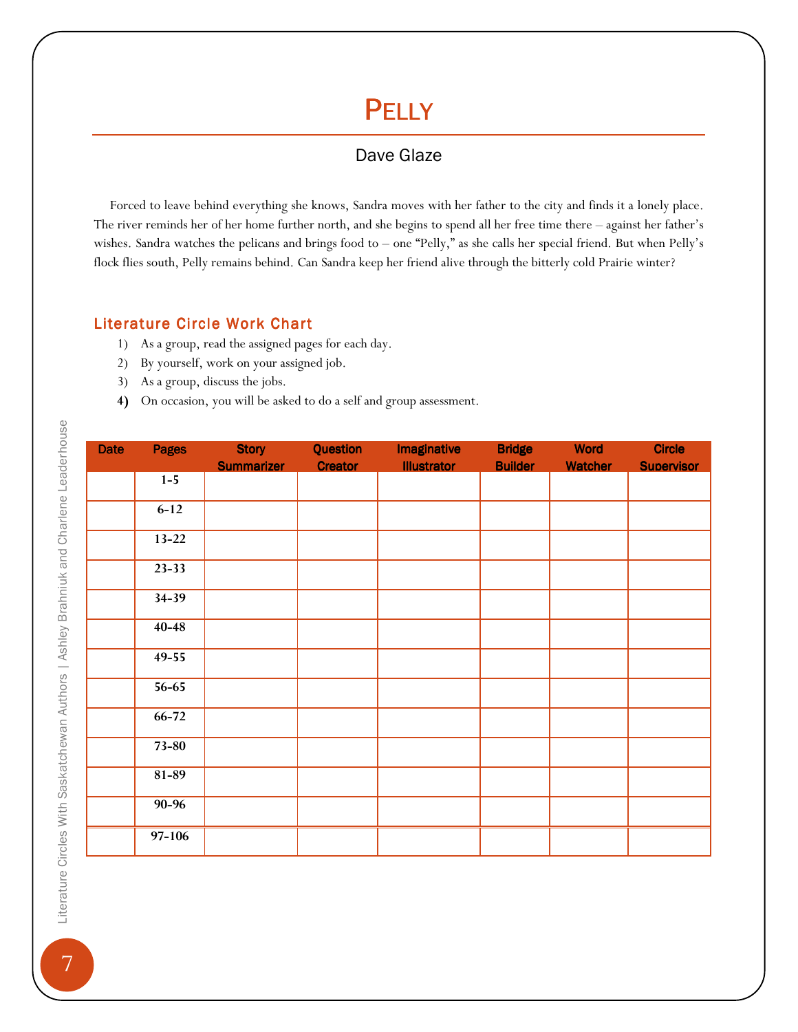## **PELLY**

## Dave Glaze

 Forced to leave behind everything she knows, Sandra moves with her father to the city and finds it a lonely place. The river reminds her of her home further north, and she begins to spend all her free time there – against her father's wishes. Sandra watches the pelicans and brings food to – one "Pelly," as she calls her special friend. But when Pelly's flock flies south, Pelly remains behind. Can Sandra keep her friend alive through the bitterly cold Prairie winter?

### Literature Circle Work Chart

- 1) As a group, read the assigned pages for each day.
- 2) By yourself, work on your assigned job.
- 3) As a group, discuss the jobs.
- 4) On occasion, you will be asked to do a self and group assessment.

| <b>Date</b> | <b>Pages</b> | <b>Story</b>      | <b>Question</b> | <b>Imaginative</b> | <b>Bridge</b>  | <b>Word</b>    | <b>Circle</b>     |
|-------------|--------------|-------------------|-----------------|--------------------|----------------|----------------|-------------------|
|             |              | <b>Summarizer</b> | <b>Creator</b>  | <b>Illustrator</b> | <b>Builder</b> | <b>Watcher</b> | <b>Supervisor</b> |
|             | $1-5$        |                   |                 |                    |                |                |                   |
|             | $6 - 12$     |                   |                 |                    |                |                |                   |
|             | $13 - 22$    |                   |                 |                    |                |                |                   |
|             | $23 - 33$    |                   |                 |                    |                |                |                   |
|             | $34 - 39$    |                   |                 |                    |                |                |                   |
|             | $40 - 48$    |                   |                 |                    |                |                |                   |
|             | $49 - 55$    |                   |                 |                    |                |                |                   |
|             | $56 - 65$    |                   |                 |                    |                |                |                   |
|             | $66 - 72$    |                   |                 |                    |                |                |                   |
|             | $73 - 80$    |                   |                 |                    |                |                |                   |
|             | $81 - 89$    |                   |                 |                    |                |                |                   |
|             | 90-96        |                   |                 |                    |                |                |                   |
|             | 97-106       |                   |                 |                    |                |                |                   |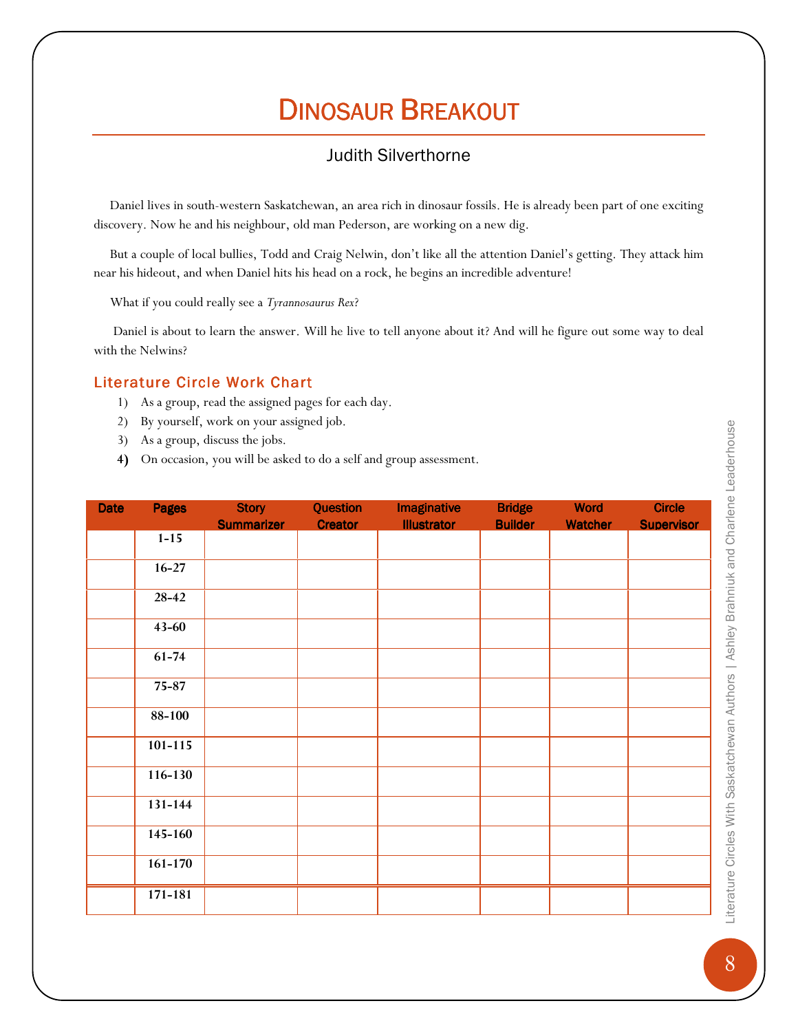## DINOSAUR BREAKOUT

## Judith Silverthorne

 Daniel lives in south-western Saskatchewan, an area rich in dinosaur fossils. He is already been part of one exciting discovery. Now he and his neighbour, old man Pederson, are working on a new dig.

 But a couple of local bullies, Todd and Craig Nelwin, don't like all the attention Daniel's getting. They attack him near his hideout, and when Daniel hits his head on a rock, he begins an incredible adventure!

What if you could really see a Tyrannosaurus Rex?

 Daniel is about to learn the answer. Will he live to tell anyone about it? And will he figure out some way to deal with the Nelwins?

### Literature Circle Work Chart

- 1) As a group, read the assigned pages for each day.
- 2) By yourself, work on your assigned job.
- 3) As a group, discuss the jobs.
- 4) On occasion, you will be asked to do a self and group assessment.

| <b>Date</b> | <b>Pages</b> | <b>Story</b><br><b>Summarizer</b> | Question<br><b>Creator</b> | <b>Imaginative</b><br><b>Illustrator</b> | <b>Bridge</b><br><b>Builder</b> | <b>Word</b><br><b>Watcher</b> | <b>Circle</b><br><b>Supervisor</b> |
|-------------|--------------|-----------------------------------|----------------------------|------------------------------------------|---------------------------------|-------------------------------|------------------------------------|
|             | $1 - 15$     |                                   |                            |                                          |                                 |                               |                                    |
|             | $16 - 27$    |                                   |                            |                                          |                                 |                               |                                    |
|             | $28-42$      |                                   |                            |                                          |                                 |                               |                                    |
|             | $43 - 60$    |                                   |                            |                                          |                                 |                               |                                    |
|             | $61 - 74$    |                                   |                            |                                          |                                 |                               |                                    |
|             | $75 - 87$    |                                   |                            |                                          |                                 |                               |                                    |
|             | $88 - 100$   |                                   |                            |                                          |                                 |                               |                                    |
|             | $101 - 115$  |                                   |                            |                                          |                                 |                               |                                    |
|             | $116 - 130$  |                                   |                            |                                          |                                 |                               |                                    |
|             | 131-144      |                                   |                            |                                          |                                 |                               |                                    |
|             | $145 - 160$  |                                   |                            |                                          |                                 |                               |                                    |
|             | $161 - 170$  |                                   |                            |                                          |                                 |                               |                                    |
|             | 171-181      |                                   |                            |                                          |                                 |                               |                                    |

**8 Circles With Saskatchewan Authors | Ashley Brahniuk and Charlene Leaderhouse** Literature Gircles With Saskatchewan Authors | Ashley Brahniuk and Charlene Leaderhouse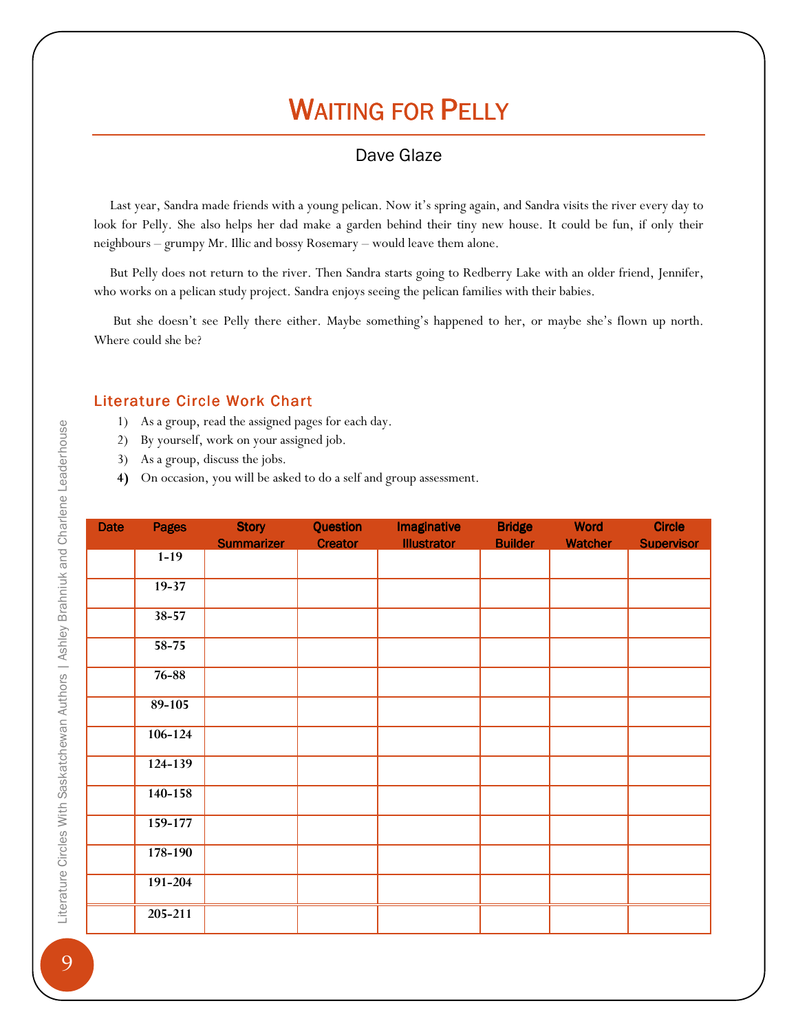## **WAITING FOR PELLY**

## Dave Glaze

 Last year, Sandra made friends with a young pelican. Now it's spring again, and Sandra visits the river every day to look for Pelly. She also helps her dad make a garden behind their tiny new house. It could be fun, if only their neighbours – grumpy Mr. Illic and bossy Rosemary – would leave them alone.

 But Pelly does not return to the river. Then Sandra starts going to Redberry Lake with an older friend, Jennifer, who works on a pelican study project. Sandra enjoys seeing the pelican families with their babies.

 But she doesn't see Pelly there either. Maybe something's happened to her, or maybe she's flown up north. Where could she be?

#### Literature Circle Work Chart

- 1) As a group, read the assigned pages for each day.
- 2) By yourself, work on your assigned job.
- 3) As a group, discuss the jobs.
- 4) On occasion, you will be asked to do a self and group assessment.

| <b>Date</b> | <b>Pages</b> | <b>Story</b>      | Question       | <b>Imaginative</b> | <b>Bridge</b>  | <b>Word</b>    | <b>Circle</b>     |
|-------------|--------------|-------------------|----------------|--------------------|----------------|----------------|-------------------|
|             |              | <b>Summarizer</b> | <b>Creator</b> | <b>Illustrator</b> | <b>Builder</b> | <b>Watcher</b> | <b>Supervisor</b> |
|             | $1 - 19$     |                   |                |                    |                |                |                   |
|             | $19 - 37$    |                   |                |                    |                |                |                   |
|             | $38 - 57$    |                   |                |                    |                |                |                   |
|             | $58 - 75$    |                   |                |                    |                |                |                   |
|             | 76-88        |                   |                |                    |                |                |                   |
|             | $89 - 105$   |                   |                |                    |                |                |                   |
|             | $106 - 124$  |                   |                |                    |                |                |                   |
|             | $124 - 139$  |                   |                |                    |                |                |                   |
|             | 140-158      |                   |                |                    |                |                |                   |
|             | $159 - 177$  |                   |                |                    |                |                |                   |
|             | 178-190      |                   |                |                    |                |                |                   |
|             | $191 - 204$  |                   |                |                    |                |                |                   |
|             | 205-211      |                   |                |                    |                |                |                   |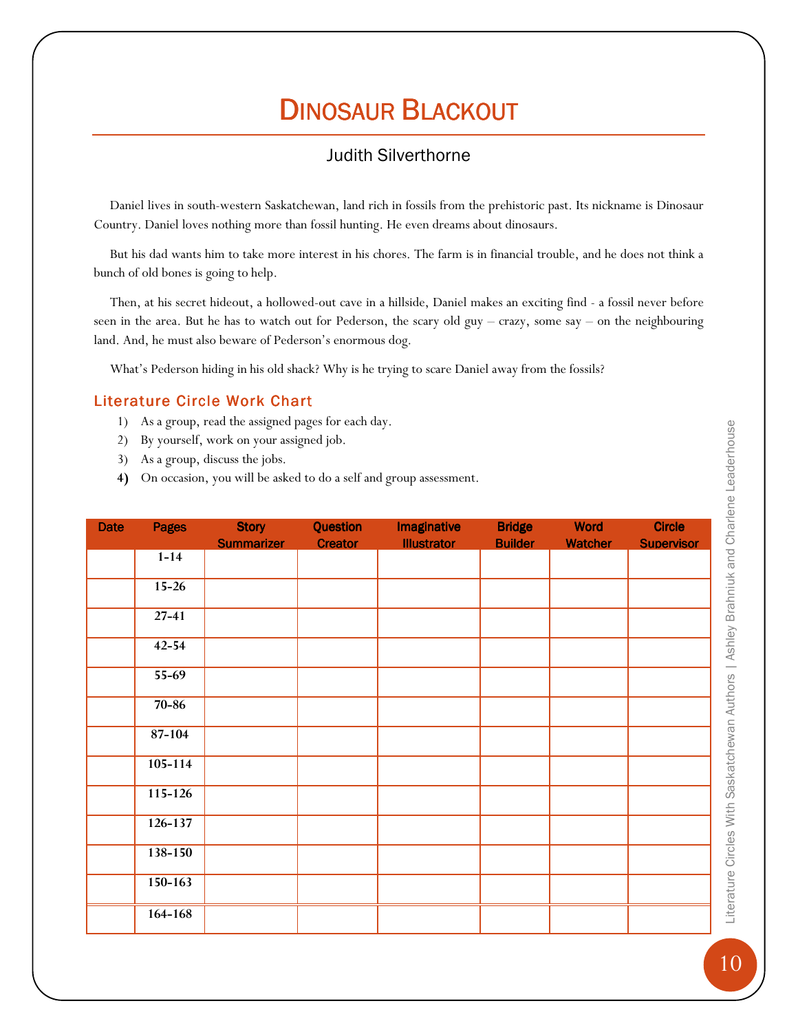## DINOSAUR BLACKOUT

## Judith Silverthorne

 Daniel lives in south-western Saskatchewan, land rich in fossils from the prehistoric past. Its nickname is Dinosaur Country. Daniel loves nothing more than fossil hunting. He even dreams about dinosaurs.

 But his dad wants him to take more interest in his chores. The farm is in financial trouble, and he does not think a bunch of old bones is going to help.

 Then, at his secret hideout, a hollowed-out cave in a hillside, Daniel makes an exciting find - a fossil never before seen in the area. But he has to watch out for Pederson, the scary old guy – crazy, some say – on the neighbouring land. And, he must also beware of Pederson's enormous dog.

What's Pederson hiding in his old shack? Why is he trying to scare Daniel away from the fossils?

#### Literature Circle Work Chart

- 1) As a group, read the assigned pages for each day.
- 2) By yourself, work on your assigned job.
- 3) As a group, discuss the jobs.
- 4) On occasion, you will be asked to do a self and group assessment.

| <b>Date</b> | <b>Pages</b> | <b>Story</b>      | Question       | <b>Imaginative</b> | <b>Bridge</b>  | <b>Word</b>    | <b>Circle</b>     |
|-------------|--------------|-------------------|----------------|--------------------|----------------|----------------|-------------------|
|             | $1 - 14$     | <b>Summarizer</b> | <b>Creator</b> | <b>Illustrator</b> | <b>Builder</b> | <b>Watcher</b> | <b>Supervisor</b> |
|             |              |                   |                |                    |                |                |                   |
|             | $15 - 26$    |                   |                |                    |                |                |                   |
|             | $27 - 41$    |                   |                |                    |                |                |                   |
|             | $42 - 54$    |                   |                |                    |                |                |                   |
|             | $55-69$      |                   |                |                    |                |                |                   |
|             | $70 - 86$    |                   |                |                    |                |                |                   |
|             | 87-104       |                   |                |                    |                |                |                   |
|             | $105 - 114$  |                   |                |                    |                |                |                   |
|             | 115-126      |                   |                |                    |                |                |                   |
|             | $126 - 137$  |                   |                |                    |                |                |                   |
|             | 138-150      |                   |                |                    |                |                |                   |
|             | $150 - 163$  |                   |                |                    |                |                |                   |
|             | 164-168      |                   |                |                    |                |                |                   |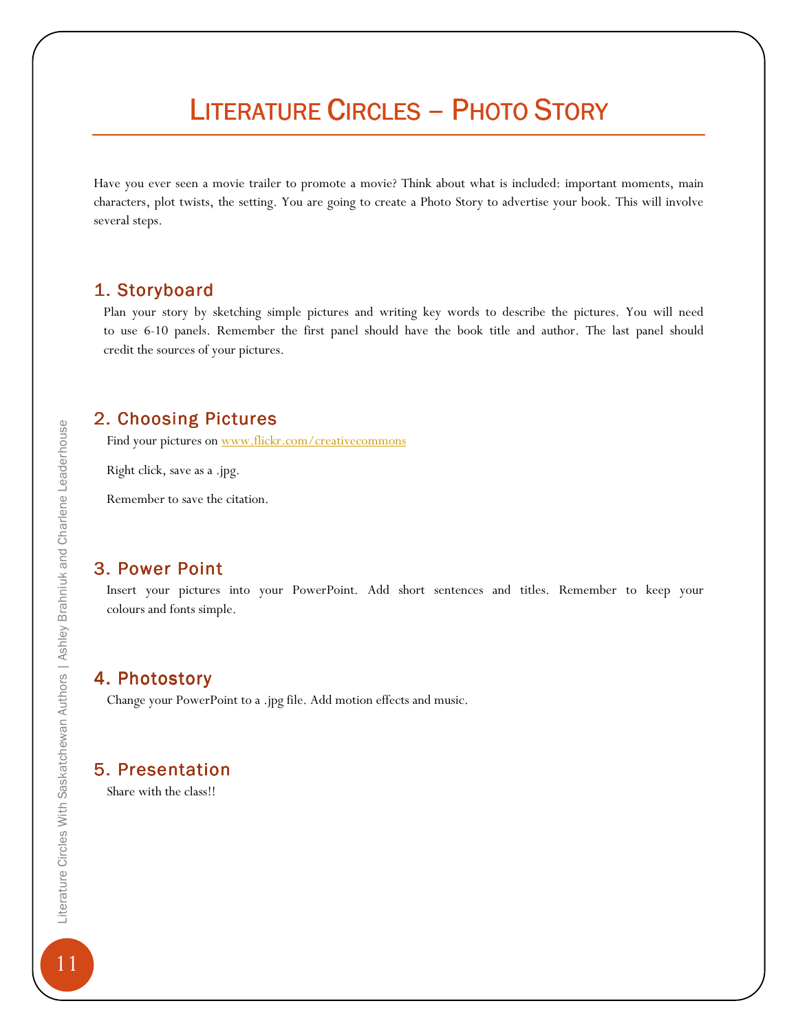## LITERATURE CIRCLES – PHOTO STORY

Have you ever seen a movie trailer to promote a movie? Think about what is included: important moments, main characters, plot twists, the setting. You are going to create a Photo Story to advertise your book. This will involve several steps.

### 1. Storyboard 1. Storyboard

 Plan your story by sketching simple pictures and writing key words to describe the pictures. You will need to use 6-10 panels. Remember the first panel should have the book title and author. The last panel should credit the sources of your pictures.

### 2. Choosing Pictures

Find your pictures on www.flickr.com/creativecommons

Right click, save as a .jpg.

Remember to save the citation.

### 3. Power Point

 Insert your pictures into your PowerPoint. Add short sentences and titles. Remember to keep your colours and fonts simple.

## 4. Photostory

Change your PowerPoint to a .jpg file. Add motion effects and music.

### 5. Presentation

Share with the class!!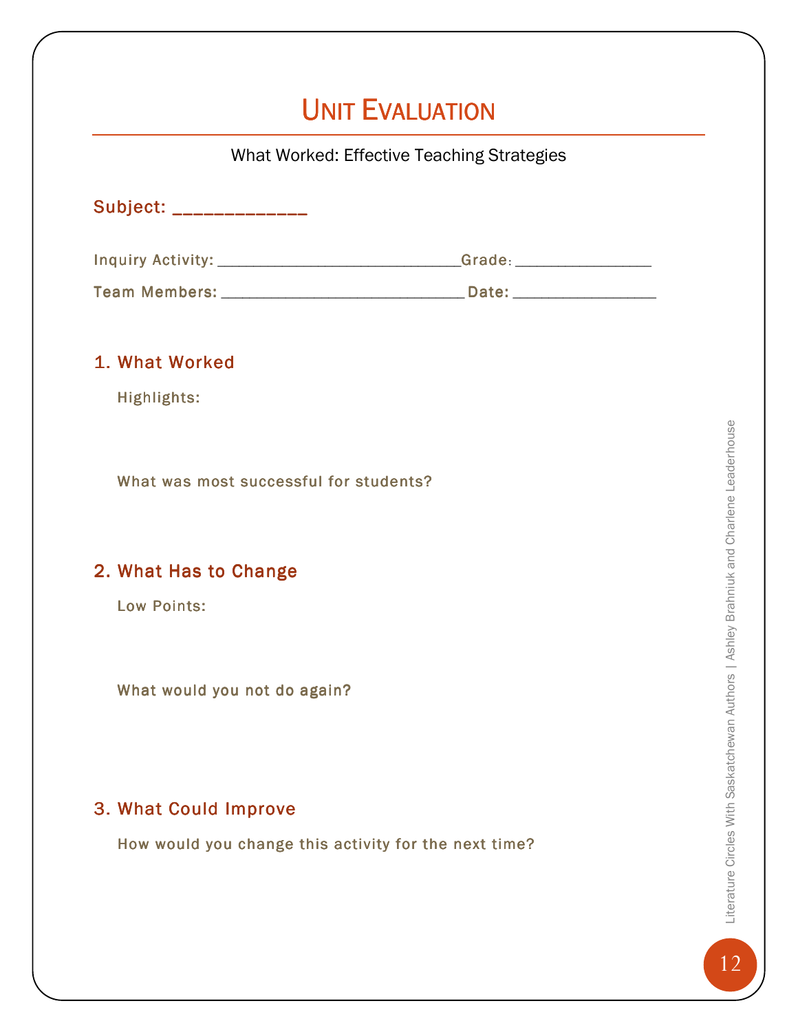## UNIT EVALUATION

| What Worked: Effective Teaching Strategies                                       |  |  |  |  |  |  |
|----------------------------------------------------------------------------------|--|--|--|--|--|--|
| Subject: ______________                                                          |  |  |  |  |  |  |
| Inquiry Activity: ___________________________Grade: ____________________________ |  |  |  |  |  |  |
|                                                                                  |  |  |  |  |  |  |
| 1. What Worked                                                                   |  |  |  |  |  |  |
| Highlights:                                                                      |  |  |  |  |  |  |
| What was most successful for students?                                           |  |  |  |  |  |  |
| 2. What Has to Change                                                            |  |  |  |  |  |  |
| <b>Low Points:</b>                                                               |  |  |  |  |  |  |
| What would you not do again?                                                     |  |  |  |  |  |  |
| 3. What Could Improve                                                            |  |  |  |  |  |  |
| How would you change this activity for the next time?                            |  |  |  |  |  |  |
|                                                                                  |  |  |  |  |  |  |
|                                                                                  |  |  |  |  |  |  |